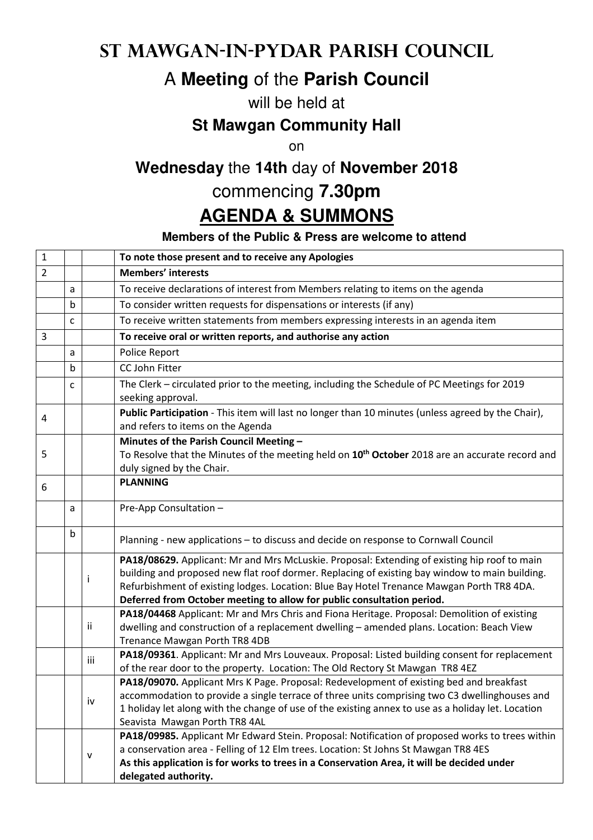## **St Mawgan-in-Pydar Parish Council**

# A **Meeting** of the **Parish Council**

#### will be held at

#### **St Mawgan Community Hall**

on

## **Wednesday** the **14th** day of **November 2018**

### commencing **7.30pm**

# **AGENDA & SUMMONS**

#### **Members of the Public & Press are welcome to attend**

| $\mathbf 1$    |   |           | To note those present and to receive any Apologies                                                                                                                                                                                                                                                                                                                    |
|----------------|---|-----------|-----------------------------------------------------------------------------------------------------------------------------------------------------------------------------------------------------------------------------------------------------------------------------------------------------------------------------------------------------------------------|
| $\overline{2}$ |   |           | <b>Members' interests</b>                                                                                                                                                                                                                                                                                                                                             |
|                | a |           | To receive declarations of interest from Members relating to items on the agenda                                                                                                                                                                                                                                                                                      |
|                | b |           | To consider written requests for dispensations or interests (if any)                                                                                                                                                                                                                                                                                                  |
|                | C |           | To receive written statements from members expressing interests in an agenda item                                                                                                                                                                                                                                                                                     |
| 3              |   |           | To receive oral or written reports, and authorise any action                                                                                                                                                                                                                                                                                                          |
|                | a |           | Police Report                                                                                                                                                                                                                                                                                                                                                         |
|                | b |           | CC John Fitter                                                                                                                                                                                                                                                                                                                                                        |
|                | C |           | The Clerk – circulated prior to the meeting, including the Schedule of PC Meetings for 2019<br>seeking approval.                                                                                                                                                                                                                                                      |
| 4              |   |           | Public Participation - This item will last no longer than 10 minutes (unless agreed by the Chair),<br>and refers to items on the Agenda                                                                                                                                                                                                                               |
| 5              |   |           | Minutes of the Parish Council Meeting -<br>To Resolve that the Minutes of the meeting held on 10 <sup>th</sup> October 2018 are an accurate record and<br>duly signed by the Chair.                                                                                                                                                                                   |
| 6              |   |           | <b>PLANNING</b>                                                                                                                                                                                                                                                                                                                                                       |
|                | a |           | Pre-App Consultation -                                                                                                                                                                                                                                                                                                                                                |
|                | b |           | Planning - new applications - to discuss and decide on response to Cornwall Council                                                                                                                                                                                                                                                                                   |
|                |   | Ť         | PA18/08629. Applicant: Mr and Mrs McLuskie. Proposal: Extending of existing hip roof to main<br>building and proposed new flat roof dormer. Replacing of existing bay window to main building.<br>Refurbishment of existing lodges. Location: Blue Bay Hotel Trenance Mawgan Porth TR8 4DA.<br>Deferred from October meeting to allow for public consultation period. |
|                |   | ii        | PA18/04468 Applicant: Mr and Mrs Chris and Fiona Heritage. Proposal: Demolition of existing<br>dwelling and construction of a replacement dwelling - amended plans. Location: Beach View<br>Trenance Mawgan Porth TR8 4DB                                                                                                                                             |
|                |   | iii       | PA18/09361. Applicant: Mr and Mrs Louveaux. Proposal: Listed building consent for replacement<br>of the rear door to the property. Location: The Old Rectory St Mawgan TR8 4EZ                                                                                                                                                                                        |
|                |   | iv        | PA18/09070. Applicant Mrs K Page. Proposal: Redevelopment of existing bed and breakfast<br>accommodation to provide a single terrace of three units comprising two C3 dwellinghouses and<br>1 holiday let along with the change of use of the existing annex to use as a holiday let. Location<br>Seavista Mawgan Porth TR8 4AL                                       |
|                |   | ${\sf v}$ | PA18/09985. Applicant Mr Edward Stein. Proposal: Notification of proposed works to trees within<br>a conservation area - Felling of 12 Elm trees. Location: St Johns St Mawgan TR8 4ES<br>As this application is for works to trees in a Conservation Area, it will be decided under<br>delegated authority.                                                          |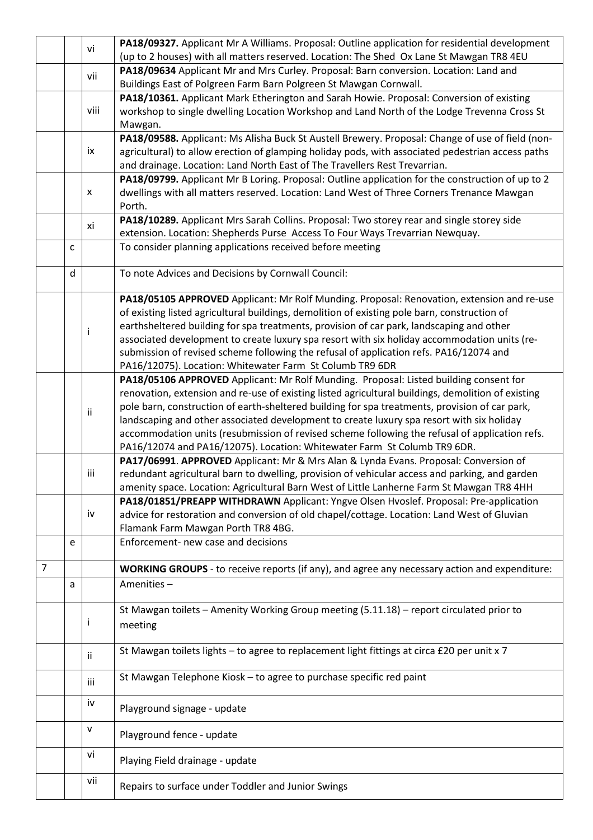|                |   | vi           | PA18/09327. Applicant Mr A Williams. Proposal: Outline application for residential development                                                                                              |
|----------------|---|--------------|---------------------------------------------------------------------------------------------------------------------------------------------------------------------------------------------|
|                |   |              | (up to 2 houses) with all matters reserved. Location: The Shed Ox Lane St Mawgan TR8 4EU                                                                                                    |
|                |   | vii          | PA18/09634 Applicant Mr and Mrs Curley. Proposal: Barn conversion. Location: Land and                                                                                                       |
|                |   |              | Buildings East of Polgreen Farm Barn Polgreen St Mawgan Cornwall.                                                                                                                           |
|                |   |              | PA18/10361. Applicant Mark Etherington and Sarah Howie. Proposal: Conversion of existing                                                                                                    |
|                |   | viii         | workshop to single dwelling Location Workshop and Land North of the Lodge Trevenna Cross St                                                                                                 |
|                |   |              | Mawgan.                                                                                                                                                                                     |
|                |   |              | PA18/09588. Applicant: Ms Alisha Buck St Austell Brewery. Proposal: Change of use of field (non-                                                                                            |
|                |   | ix           | agricultural) to allow erection of glamping holiday pods, with associated pedestrian access paths                                                                                           |
|                |   |              | and drainage. Location: Land North East of The Travellers Rest Trevarrian.                                                                                                                  |
|                |   |              | PA18/09799. Applicant Mr B Loring. Proposal: Outline application for the construction of up to 2                                                                                            |
|                |   | X            | dwellings with all matters reserved. Location: Land West of Three Corners Trenance Mawgan                                                                                                   |
|                |   |              | Porth.                                                                                                                                                                                      |
|                |   | xi           | PA18/10289. Applicant Mrs Sarah Collins. Proposal: Two storey rear and single storey side                                                                                                   |
|                |   |              | extension. Location: Shepherds Purse Access To Four Ways Trevarrian Newquay.                                                                                                                |
|                | C |              | To consider planning applications received before meeting                                                                                                                                   |
|                |   |              |                                                                                                                                                                                             |
|                | d |              | To note Advices and Decisions by Cornwall Council:                                                                                                                                          |
|                |   |              | PA18/05105 APPROVED Applicant: Mr Rolf Munding. Proposal: Renovation, extension and re-use                                                                                                  |
|                |   |              |                                                                                                                                                                                             |
|                |   |              | of existing listed agricultural buildings, demolition of existing pole barn, construction of<br>earthsheltered building for spa treatments, provision of car park, landscaping and other    |
|                |   | Ť            | associated development to create luxury spa resort with six holiday accommodation units (re-                                                                                                |
|                |   |              | submission of revised scheme following the refusal of application refs. PA16/12074 and                                                                                                      |
|                |   |              | PA16/12075). Location: Whitewater Farm St Columb TR9 6DR                                                                                                                                    |
|                |   |              | PA18/05106 APPROVED Applicant: Mr Rolf Munding. Proposal: Listed building consent for                                                                                                       |
|                |   |              | renovation, extension and re-use of existing listed agricultural buildings, demolition of existing                                                                                          |
|                |   |              |                                                                                                                                                                                             |
|                |   | ij.          | pole barn, construction of earth-sheltered building for spa treatments, provision of car park,                                                                                              |
|                |   |              | landscaping and other associated development to create luxury spa resort with six holiday<br>accommodation units (resubmission of revised scheme following the refusal of application refs. |
|                |   |              | PA16/12074 and PA16/12075). Location: Whitewater Farm St Columb TR9 6DR.                                                                                                                    |
|                |   |              | PA17/06991. APPROVED Applicant: Mr & Mrs Alan & Lynda Evans. Proposal: Conversion of                                                                                                        |
|                |   | iii          | redundant agricultural barn to dwelling, provision of vehicular access and parking, and garden                                                                                              |
|                |   |              | amenity space. Location: Agricultural Barn West of Little Lanherne Farm St Mawgan TR8 4HH                                                                                                   |
|                |   |              | PA18/01851/PREAPP WITHDRAWN Applicant: Yngve Olsen Hvoslef. Proposal: Pre-application                                                                                                       |
|                |   | iv           | advice for restoration and conversion of old chapel/cottage. Location: Land West of Gluvian                                                                                                 |
|                |   |              | Flamank Farm Mawgan Porth TR8 4BG.                                                                                                                                                          |
|                | e |              | Enforcement- new case and decisions                                                                                                                                                         |
|                |   |              |                                                                                                                                                                                             |
| $\overline{7}$ |   |              | WORKING GROUPS - to receive reports (if any), and agree any necessary action and expenditure:                                                                                               |
|                | a |              | Amenities-                                                                                                                                                                                  |
|                |   |              |                                                                                                                                                                                             |
|                |   |              | St Mawgan toilets - Amenity Working Group meeting (5.11.18) - report circulated prior to                                                                                                    |
|                |   | ı            | meeting                                                                                                                                                                                     |
|                |   |              |                                                                                                                                                                                             |
|                |   |              | St Mawgan toilets lights - to agree to replacement light fittings at circa £20 per unit x 7                                                                                                 |
|                |   | ij.          |                                                                                                                                                                                             |
|                |   |              | St Mawgan Telephone Kiosk - to agree to purchase specific red paint                                                                                                                         |
|                |   | iii          |                                                                                                                                                                                             |
|                |   | iv           |                                                                                                                                                                                             |
|                |   |              | Playground signage - update                                                                                                                                                                 |
|                |   | $\mathsf{V}$ | Playground fence - update                                                                                                                                                                   |
|                |   |              |                                                                                                                                                                                             |
|                |   | vi           | Playing Field drainage - update                                                                                                                                                             |
|                |   |              |                                                                                                                                                                                             |
|                |   | vii          | Repairs to surface under Toddler and Junior Swings                                                                                                                                          |
|                |   |              |                                                                                                                                                                                             |